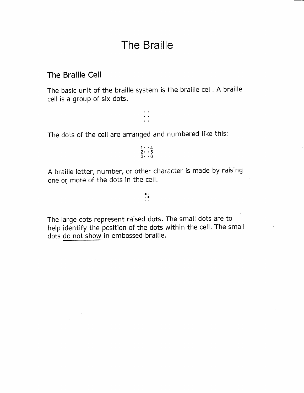# The Braille

#### The Braille Cell

The basic unit of the braille system is the braille cell. A braille cell is a group of six dots.

: :

The dots of the cell are arranged and numbered like this:

 $1 \cdot 4$ <br>2. . 5  $\begin{array}{c} 2 \cdot 5 \\ 3 \cdot 6 \end{array}$ 

A braille letter, number, or other character is made by raising one or more of the dots in the cell.

:?

The large dots represent raised dots. The small dots are to help identify the position of the dots within the cell. The small dots do not show in embossed braille.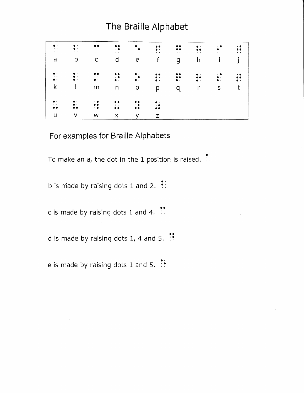## The Braille Alphabet

| $\bullet$ .<br>$\bullet$ . $\bullet$<br>$\bullet$ .<br><br>$\bullet$ | $\bullet$ .<br>$\bullet$ .<br>$\sim$            | $\bullet$<br>$\sim 100$<br>$\bullet$ . $\bullet$ . | $\bullet$<br>$\cdot$ .<br>$\bullet$ . $\bullet$ .                    | $\bullet$ .<br>$\cdot \bullet$<br>$\sim$ $\sim$                                                    | $\ddot{\bullet}$<br>$\sim 100$                     | $\ddot{\bullet}$<br>$\sim$ $\sim$ | $\bullet$ .<br>$\bullet\bullet\qquad \qquad$<br>and the company of | $\cdot$ .<br>$\bullet$ .<br><b>All Angeles Committee</b> | $\cdot$ .<br>$\bullet$<br>$\bullet$ . $\bullet$ |
|----------------------------------------------------------------------|-------------------------------------------------|----------------------------------------------------|----------------------------------------------------------------------|----------------------------------------------------------------------------------------------------|----------------------------------------------------|-----------------------------------|--------------------------------------------------------------------|----------------------------------------------------------|-------------------------------------------------|
| a                                                                    | b                                               | $\mathsf{C}$                                       | $\mathsf{d}$                                                         | e                                                                                                  | f                                                  | g                                 | h                                                                  | $\mathbf{i}$                                             |                                                 |
| $\bullet$ .<br>$\sim$ $\sim$<br>$\bullet$ .                          | $\ddot{\bullet}$ :<br>$\bullet$ .               | $\bullet\bullet$<br>$\sim$ $\sim$<br>$\bullet$ .   | $\bullet\bullet$<br>$\bullet$ .                                      | $\bullet$<br>$\mathbf{r} \bullet \mathbf{r}$ and $\mathbf{r} \bullet \mathbf{r}$<br>$\bullet\cdot$ | $\ddot{\cdot}$                                     | $\ddot{\cdot}$                    | $\bullet$ .<br>$\ddot{\bullet}$<br>$\bullet$ .                     | $\cdot \bullet$<br>$\bullet$ .<br>$\bullet$ .            | $\cdot \bullet$<br>$\bullet$ .                  |
| k                                                                    | $\mathbf{I}$                                    | m                                                  | n                                                                    | $\mathsf O$                                                                                        | p                                                  | q                                 | $\mathsf{r}$                                                       | S                                                        | t                                               |
| $\bullet$ .<br>$\sim$ $\sim$<br>$\bullet$<br>$\bullet$               | $\bullet$<br>$\bullet$ .<br>$\bullet$ $\bullet$ | $\ddot{\bullet}$<br>$\cdot$ $\bullet$              | $\bullet\bullet$<br>$\mathbf{A}=\mathbf{A}$ .<br>$\bullet$ $\bullet$ | $\bullet\bullet$<br>$\cdot$ $\bullet$<br>$\bullet$<br>$\bullet$                                    | $\bullet$ .<br>$\cdot$ .<br>$\bullet$<br>$\bullet$ |                                   |                                                                    |                                                          |                                                 |
| U                                                                    | V                                               | W                                                  | $\boldsymbol{\mathsf{X}}$                                            | v                                                                                                  | Z                                                  |                                   |                                                                    |                                                          |                                                 |

### For examples for Braille Alphabets

To make an a, the dot in the 1 position is raised.  $\vdots$ 

b is made by raising dots 1 and 2.  $\vdots$ 

c is made by raising dots 1 and 4.  $\mathbb{S}^{\bullet}$ 

d is made by raising dots 1, 4 and 5.  $\mathbb{S}$ 

e is made by raising dots 1 and 5.  $\mathbb{I}$ :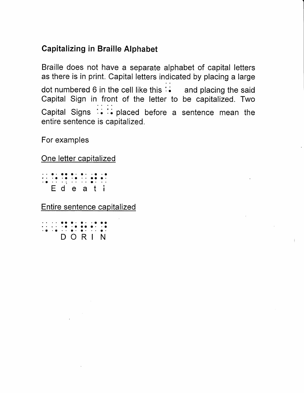### **Capitalizing in Braille Alphabet**

Braille does not have a separate alphabet of capital letters as there is in print. Capital letters indicated by placing a large dot numbered 6 in the cell like this : i and placing the said Capital Sign in front of the letter to be capitalized. Two Capital Signs : i : placed before a sentence mean the entire sentence is capitalized.

For examples

### One letter capitalized

Edeati

Entire sentence capitalized

|  |  | . <b>.</b> . <b>. .</b> |  |  |
|--|--|-------------------------|--|--|
|  |  | . <b>. .</b>            |  |  |
|  |  | .                       |  |  |
|  |  | DORIN                   |  |  |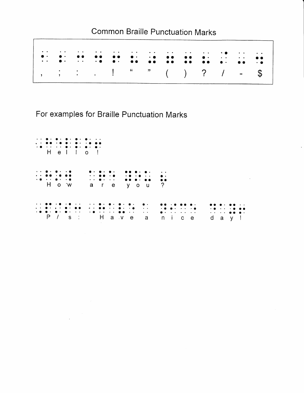### **Common Braille Punctuation Marks**

| produced a company of the contract of the company of the company of the company of the company of the company of the company of the company of the company of the company of the company of the company of the company of the |  |  | الموسود والمنافي والمنافس والمنافس والمنافس والمنافس والمنافس والمنافس والمنافس والمنافس والمنافس والمنافس |  |  |                                                                                                                                                                                                                                                                                                                                                                                                                           |
|-------------------------------------------------------------------------------------------------------------------------------------------------------------------------------------------------------------------------------|--|--|------------------------------------------------------------------------------------------------------------|--|--|---------------------------------------------------------------------------------------------------------------------------------------------------------------------------------------------------------------------------------------------------------------------------------------------------------------------------------------------------------------------------------------------------------------------------|
|                                                                                                                                                                                                                               |  |  |                                                                                                            |  |  | $1, \frac{1}{2}, \frac{1}{2}, \frac{1}{2}, \frac{1}{2}, \frac{1}{2}, \frac{1}{2}, \frac{1}{2}, \frac{1}{2}, \frac{1}{2}, \frac{1}{2}, \frac{1}{2}, \frac{1}{2}, \frac{1}{2}, \frac{1}{2}, \frac{1}{2}, \frac{1}{2}, \frac{1}{2}, \frac{1}{2}, \frac{1}{2}, \frac{1}{2}, \frac{1}{2}, \frac{1}{2}, \frac{1}{2}, \frac{1}{2}, \frac{1}{2}, \frac{1}{2}, \frac{1}{2}, \frac{1}{2}, \frac{1}{2}, \frac{1}{2}, \frac{1}{2}, \$ |

For examples for Braille Punctuation Marks

 $\sim$   $\sim$ 

 $\sqrt{ }$